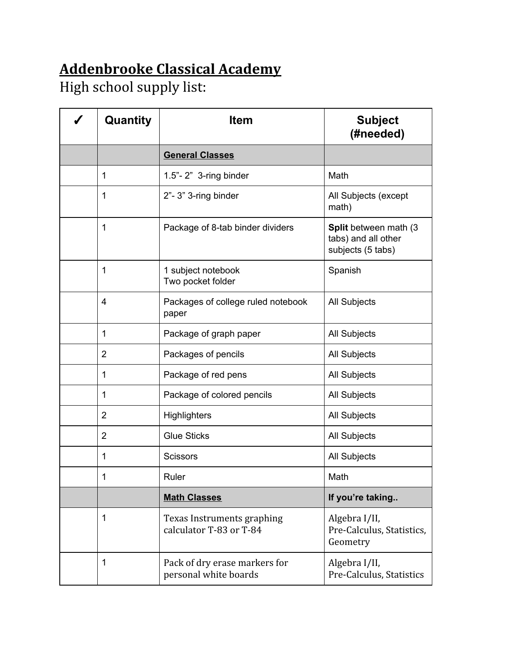## **Addenbrooke Classical Academy**

High school supply list:

| Quantity       | <b>Item</b>                                            | <b>Subject</b><br>(#needed)                                       |
|----------------|--------------------------------------------------------|-------------------------------------------------------------------|
|                | <b>General Classes</b>                                 |                                                                   |
| 1              | $1.5"$ - $2"$ 3-ring binder                            | Math                                                              |
| 1              | 2"-3" 3-ring binder                                    | All Subjects (except<br>math)                                     |
| 1              | Package of 8-tab binder dividers                       | Split between math (3<br>tabs) and all other<br>subjects (5 tabs) |
| 1              | 1 subject notebook<br>Two pocket folder                | Spanish                                                           |
| 4              | Packages of college ruled notebook<br>paper            | <b>All Subjects</b>                                               |
| 1              | Package of graph paper                                 | <b>All Subjects</b>                                               |
| $\overline{2}$ | Packages of pencils                                    | <b>All Subjects</b>                                               |
| 1              | Package of red pens                                    | All Subjects                                                      |
| 1              | Package of colored pencils                             | <b>All Subjects</b>                                               |
| $\overline{2}$ | <b>Highlighters</b>                                    | All Subjects                                                      |
| $\overline{2}$ | <b>Glue Sticks</b>                                     | All Subjects                                                      |
| 1              | <b>Scissors</b>                                        | All Subjects                                                      |
| 1              | Ruler                                                  | Math                                                              |
|                | <b>Math Classes</b>                                    | If you're taking                                                  |
| 1              | Texas Instruments graphing<br>calculator T-83 or T-84  | Algebra I/II,<br>Pre-Calculus, Statistics,<br>Geometry            |
| 1              | Pack of dry erase markers for<br>personal white boards | Algebra I/II,<br>Pre-Calculus, Statistics                         |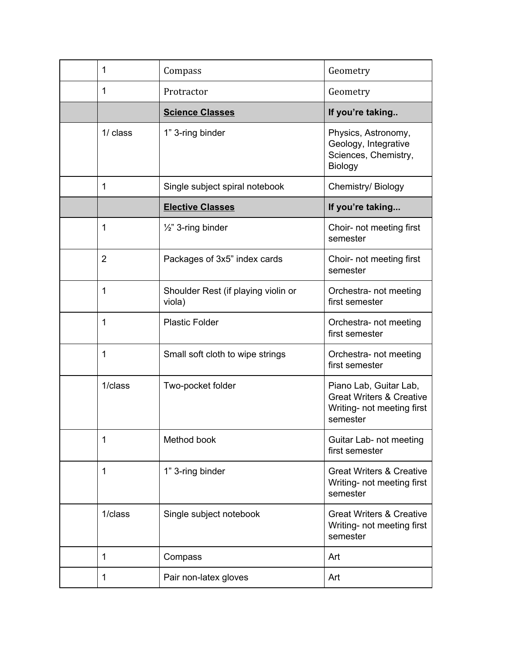| 1              | Compass                                       | Geometry                                                                                                |
|----------------|-----------------------------------------------|---------------------------------------------------------------------------------------------------------|
| 1              | Protractor                                    | Geometry                                                                                                |
|                | <b>Science Classes</b>                        | If you're taking                                                                                        |
| 1/ class       | 1" 3-ring binder                              | Physics, Astronomy,<br>Geology, Integrative<br>Sciences, Chemistry,<br>Biology                          |
| 1              | Single subject spiral notebook                | Chemistry/ Biology                                                                                      |
|                | <b>Elective Classes</b>                       | If you're taking                                                                                        |
| 1              | 1/2" 3-ring binder                            | Choir- not meeting first<br>semester                                                                    |
| $\overline{2}$ | Packages of 3x5" index cards                  | Choir- not meeting first<br>semester                                                                    |
| 1              | Shoulder Rest (if playing violin or<br>viola) | Orchestra- not meeting<br>first semester                                                                |
| 1              | <b>Plastic Folder</b>                         | Orchestra- not meeting<br>first semester                                                                |
| 1              | Small soft cloth to wipe strings              | Orchestra- not meeting<br>first semester                                                                |
| 1/class        | Two-pocket folder                             | Piano Lab, Guitar Lab,<br><b>Great Writers &amp; Creative</b><br>Writing- not meeting first<br>semester |
| 1              | Method book                                   | Guitar Lab- not meeting<br>first semester                                                               |
| 1              | 1" 3-ring binder                              | <b>Great Writers &amp; Creative</b><br>Writing- not meeting first<br>semester                           |
| 1/class        | Single subject notebook                       | <b>Great Writers &amp; Creative</b><br>Writing- not meeting first<br>semester                           |
| 1              | Compass                                       | Art                                                                                                     |
| 1              | Pair non-latex gloves                         | Art                                                                                                     |